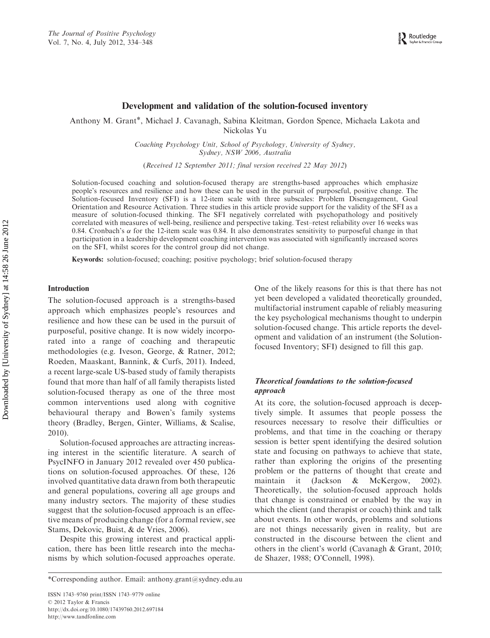## Development and validation of the solution-focused inventory

Anthony M. Grant\*, Michael J. Cavanagh, Sabina Kleitman, Gordon Spence, Michaela Lakota and Nickolas Yu

> Coaching Psychology Unit, School of Psychology, University of Sydney, Sydney, NSW 2006, Australia

(Received 12 September 2011; final version received 22 May 2012)

Solution-focused coaching and solution-focused therapy are strengths-based approaches which emphasize people's resources and resilience and how these can be used in the pursuit of purposeful, positive change. The Solution-focused Inventory (SFI) is a 12-item scale with three subscales: Problem Disengagement, Goal Orientation and Resource Activation. Three studies in this article provide support for the validity of the SFI as a measure of solution-focused thinking. The SFI negatively correlated with psychopathology and positively correlated with measures of well-being, resilience and perspective taking. Test–retest reliability over 16 weeks was  $0.84$ . Cronbach's  $\alpha$  for the 12-item scale was 0.84. It also demonstrates sensitivity to purposeful change in that participation in a leadership development coaching intervention was associated with significantly increased scores on the SFI, whilst scores for the control group did not change.

Keywords: solution-focused; coaching; positive psychology; brief solution-focused therapy

## Introduction

The solution-focused approach is a strengths-based approach which emphasizes people's resources and resilience and how these can be used in the pursuit of purposeful, positive change. It is now widely incorporated into a range of coaching and therapeutic methodologies (e.g. Iveson, George, & Ratner, 2012; Roeden, Maaskant, Bannink, & Curfs, 2011). Indeed, a recent large-scale US-based study of family therapists found that more than half of all family therapists listed solution-focused therapy as one of the three most common interventions used along with cognitive behavioural therapy and Bowen's family systems theory (Bradley, Bergen, Ginter, Williams, & Scalise, 2010).

Solution-focused approaches are attracting increasing interest in the scientific literature. A search of PsycINFO in January 2012 revealed over 450 publications on solution-focused approaches. Of these, 126 involved quantitative data drawn from both therapeutic and general populations, covering all age groups and many industry sectors. The majority of these studies suggest that the solution-focused approach is an effective means of producing change (for a formal review, see Stams, Dekovic, Buist, & de Vries, 2006).

Despite this growing interest and practical application, there has been little research into the mechanisms by which solution-focused approaches operate. One of the likely reasons for this is that there has not yet been developed a validated theoretically grounded, multifactorial instrument capable of reliably measuring the key psychological mechanisms thought to underpin solution-focused change. This article reports the development and validation of an instrument (the Solutionfocused Inventory; SFI) designed to fill this gap.

## Theoretical foundations to the solution-focused approach

At its core, the solution-focused approach is deceptively simple. It assumes that people possess the resources necessary to resolve their difficulties or problems, and that time in the coaching or therapy session is better spent identifying the desired solution state and focusing on pathways to achieve that state, rather than exploring the origins of the presenting problem or the patterns of thought that create and maintain it (Jackson & McKergow, 2002). Theoretically, the solution-focused approach holds that change is constrained or enabled by the way in which the client (and therapist or coach) think and talk about events. In other words, problems and solutions are not things necessarily given in reality, but are constructed in the discourse between the client and others in the client's world (Cavanagh & Grant, 2010; de Shazer, 1988; O'Connell, 1998).

<sup>\*</sup>Corresponding author. Email: anthony.grant@sydney.edu.au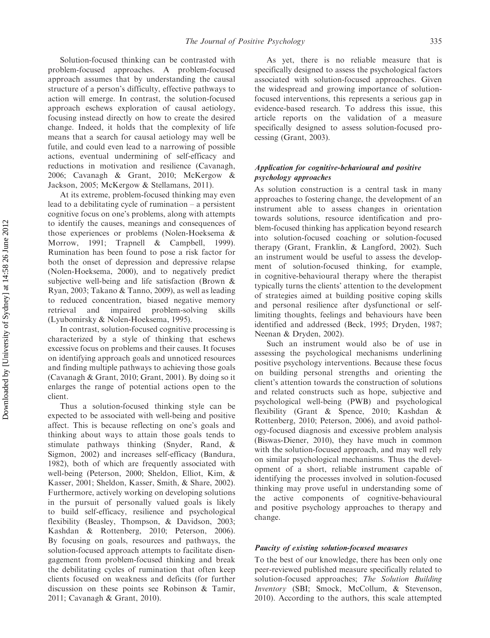Solution-focused thinking can be contrasted with problem-focused approaches. A problem-focused approach assumes that by understanding the causal structure of a person's difficulty, effective pathways to action will emerge. In contrast, the solution-focused approach eschews exploration of causal aetiology, focusing instead directly on how to create the desired change. Indeed, it holds that the complexity of life means that a search for causal aetiology may well be futile, and could even lead to a narrowing of possible actions, eventual undermining of self-efficacy and reductions in motivation and resilience (Cavanagh, 2006; Cavanagh & Grant, 2010; McKergow & Jackson, 2005; McKergow & Stellamans, 2011).

At its extreme, problem-focused thinking may even lead to a debilitating cycle of rumination – a persistent cognitive focus on one's problems, along with attempts to identify the causes, meanings and consequences of those experiences or problems (Nolen-Hoeksema & Morrow, 1991; Trapnell & Campbell, 1999). Rumination has been found to pose a risk factor for both the onset of depression and depressive relapse (Nolen-Hoeksema, 2000), and to negatively predict subjective well-being and life satisfaction (Brown & Ryan, 2003; Takano & Tanno, 2009), as well as leading to reduced concentration, biased negative memory retrieval and impaired problem-solving skills (Lyubomirsky & Nolen-Hoeksema, 1995).

In contrast, solution-focused cognitive processing is characterized by a style of thinking that eschews excessive focus on problems and their causes. It focuses on identifying approach goals and unnoticed resources and finding multiple pathways to achieving those goals (Cavanagh & Grant, 2010; Grant, 2001). By doing so it enlarges the range of potential actions open to the client.

Thus a solution-focused thinking style can be expected to be associated with well-being and positive affect. This is because reflecting on one's goals and thinking about ways to attain those goals tends to stimulate pathways thinking (Snyder, Rand, & Sigmon, 2002) and increases self-efficacy (Bandura, 1982), both of which are frequently associated with well-being (Peterson, 2000; Sheldon, Elliot, Kim, & Kasser, 2001; Sheldon, Kasser, Smith, & Share, 2002). Furthermore, actively working on developing solutions in the pursuit of personally valued goals is likely to build self-efficacy, resilience and psychological flexibility (Beasley, Thompson, & Davidson, 2003; Kashdan & Rottenberg, 2010; Peterson, 2006). By focusing on goals, resources and pathways, the solution-focused approach attempts to facilitate disengagement from problem-focused thinking and break the debilitating cycles of rumination that often keep clients focused on weakness and deficits (for further discussion on these points see Robinson & Tamir, 2011; Cavanagh & Grant, 2010).

As yet, there is no reliable measure that is specifically designed to assess the psychological factors associated with solution-focused approaches. Given the widespread and growing importance of solutionfocused interventions, this represents a serious gap in evidence-based research. To address this issue, this article reports on the validation of a measure specifically designed to assess solution-focused processing (Grant, 2003).

## Application for cognitive-behavioural and positive psychology approaches

As solution construction is a central task in many approaches to fostering change, the development of an instrument able to assess changes in orientation towards solutions, resource identification and problem-focused thinking has application beyond research into solution-focused coaching or solution-focused therapy (Grant, Franklin, & Langford, 2002). Such an instrument would be useful to assess the development of solution-focused thinking, for example, in cognitive-behavioural therapy where the therapist typically turns the clients' attention to the development of strategies aimed at building positive coping skills and personal resilience after dysfunctional or selflimiting thoughts, feelings and behaviours have been identified and addressed (Beck, 1995; Dryden, 1987; Neenan & Dryden, 2002).

Such an instrument would also be of use in assessing the psychological mechanisms underlining positive psychology interventions. Because these focus on building personal strengths and orienting the client's attention towards the construction of solutions and related constructs such as hope, subjective and psychological well-being (PWB) and psychological flexibility (Grant & Spence, 2010; Kashdan & Rottenberg, 2010; Peterson, 2006), and avoid pathology-focused diagnosis and excessive problem analysis (Biswas-Diener, 2010), they have much in common with the solution-focused approach, and may well rely on similar psychological mechanisms. Thus the development of a short, reliable instrument capable of identifying the processes involved in solution-focused thinking may prove useful in understanding some of the active components of cognitive-behavioural and positive psychology approaches to therapy and change.

### Paucity of existing solution-focused measures

To the best of our knowledge, there has been only one peer-reviewed published measure specifically related to solution-focused approaches; The Solution Building Inventory (SBI; Smock, McCollum, & Stevenson, 2010). According to the authors, this scale attempted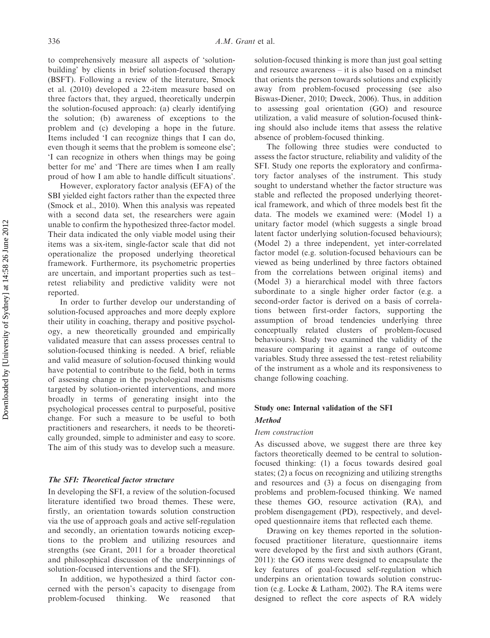to comprehensively measure all aspects of 'solutionbuilding' by clients in brief solution-focused therapy (BSFT). Following a review of the literature, Smock et al. (2010) developed a 22-item measure based on three factors that, they argued, theoretically underpin the solution-focused approach: (a) clearly identifying the solution; (b) awareness of exceptions to the problem and (c) developing a hope in the future. Items included 'I can recognize things that I can do, even though it seems that the problem is someone else'; 'I can recognize in others when things may be going better for me' and 'There are times when I am really proud of how I am able to handle difficult situations'.

However, exploratory factor analysis (EFA) of the SBI yielded eight factors rather than the expected three (Smock et al., 2010). When this analysis was repeated with a second data set, the researchers were again unable to confirm the hypothesized three-factor model. Their data indicated the only viable model using their items was a six-item, single-factor scale that did not operationalize the proposed underlying theoretical framework. Furthermore, its psychometric properties are uncertain, and important properties such as test– retest reliability and predictive validity were not reported.

In order to further develop our understanding of solution-focused approaches and more deeply explore their utility in coaching, therapy and positive psychology, a new theoretically grounded and empirically validated measure that can assess processes central to solution-focused thinking is needed. A brief, reliable and valid measure of solution-focused thinking would have potential to contribute to the field, both in terms of assessing change in the psychological mechanisms targeted by solution-oriented interventions, and more broadly in terms of generating insight into the psychological processes central to purposeful, positive change. For such a measure to be useful to both practitioners and researchers, it needs to be theoretically grounded, simple to administer and easy to score. The aim of this study was to develop such a measure.

### The SFI: Theoretical factor structure

In developing the SFI, a review of the solution-focused literature identified two broad themes. These were, firstly, an orientation towards solution construction via the use of approach goals and active self-regulation and secondly, an orientation towards noticing exceptions to the problem and utilizing resources and strengths (see Grant, 2011 for a broader theoretical and philosophical discussion of the underpinnings of solution-focused interventions and the SFI).

In addition, we hypothesized a third factor concerned with the person's capacity to disengage from problem-focused thinking. We reasoned that solution-focused thinking is more than just goal setting and resource awareness – it is also based on a mindset that orients the person towards solutions and explicitly away from problem-focused processing (see also Biswas-Diener, 2010; Dweck, 2006). Thus, in addition to assessing goal orientation (GO) and resource utilization, a valid measure of solution-focused thinking should also include items that assess the relative absence of problem-focused thinking.

The following three studies were conducted to assess the factor structure, reliability and validity of the SFI. Study one reports the exploratory and confirmatory factor analyses of the instrument. This study sought to understand whether the factor structure was stable and reflected the proposed underlying theoretical framework, and which of three models best fit the data. The models we examined were: (Model 1) a unitary factor model (which suggests a single broad latent factor underlying solution-focused behaviours); (Model 2) a three independent, yet inter-correlated factor model (e.g. solution-focused behaviours can be viewed as being underlined by three factors obtained from the correlations between original items) and (Model 3) a hierarchical model with three factors subordinate to a single higher order factor (e.g. a second-order factor is derived on a basis of correlations between first-order factors, supporting the assumption of broad tendencies underlying three conceptually related clusters of problem-focused behaviours). Study two examined the validity of the measure comparing it against a range of outcome variables. Study three assessed the test–retest reliability of the instrument as a whole and its responsiveness to change following coaching.

# Study one: Internal validation of the SFI Method

#### Item construction

As discussed above, we suggest there are three key factors theoretically deemed to be central to solutionfocused thinking: (1) a focus towards desired goal states; (2) a focus on recognizing and utilizing strengths and resources and (3) a focus on disengaging from problems and problem-focused thinking. We named these themes GO, resource activation (RA), and problem disengagement (PD), respectively, and developed questionnaire items that reflected each theme.

Drawing on key themes reported in the solutionfocused practitioner literature, questionnaire items were developed by the first and sixth authors (Grant, 2011): the GO items were designed to encapsulate the key features of goal-focused self-regulation which underpins an orientation towards solution construction (e.g. Locke & Latham, 2002). The RA items were designed to reflect the core aspects of RA widely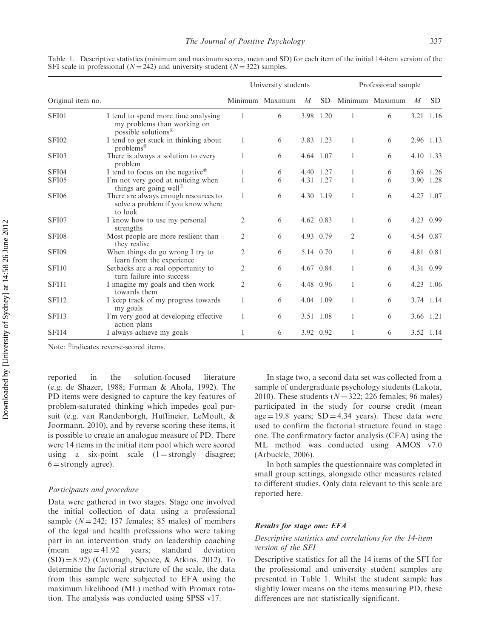| Original item no.                                          |
|------------------------------------------------------------|
| I tend to spend mo<br>my problems tha<br>possible solution |
| I tend to get stuck<br>problems <sup>®</sup>               |
| There is always a s<br>problem                             |
| I tend to focus on                                         |
| I'm not very good<br>things are going                      |
| There are always en<br>solve a problem<br>to look          |
| I know how to use<br>strengths                             |
| Most people are m<br>they realise                          |
| When things do go<br>learn from the e                      |
| Setbacks are a real<br>turn failure into                   |
| I imagine my goals<br>towards them                         |
| I keep track of my<br>my goals                             |
| I'm very good at d<br>action plans                         |
| I always achieve m                                         |
| Note: ®indicates reverse-scored items.                     |
|                                                            |

Table 1. Descriptive statistics (minimum and maximum scores, mean and SD) for each item of the initial 14-item version of the SFI scale in professional ( $N = 242$ ) and university student ( $N = 322$ ) samples.

|                   |                                                                                                       | University students |                 |                |           | Professional sample |                 |           |           |
|-------------------|-------------------------------------------------------------------------------------------------------|---------------------|-----------------|----------------|-----------|---------------------|-----------------|-----------|-----------|
| Original item no. |                                                                                                       |                     | Minimum Maximum | $\overline{M}$ | <b>SD</b> |                     | Minimum Maximum | M         | <b>SD</b> |
| SFI01             | I tend to spend more time analysing<br>my problems than working on<br>possible solutions <sup>®</sup> |                     | 6               |                | 3.98 1.20 |                     | 6               | 3.21 1.16 |           |
| <b>SFI02</b>      | I tend to get stuck in thinking about<br>problems <sup>®</sup>                                        |                     | 6               |                | 3.83 1.23 | 1                   | 6               | 2.96 1.13 |           |
| <b>SFI03</b>      | There is always a solution to every<br>problem                                                        |                     | 6               |                | 4.64 1.07 | 1                   | 6               | 4.10      | 1.33      |
| <b>SFI04</b>      | I tend to focus on the negative®                                                                      |                     | 6               | 4.40 1.27      |           | 1                   | 6               | 3.69      | 1.26      |
| <b>SFI05</b>      | I'm not very good at noticing when<br>things are going well <sup>®</sup>                              |                     | 6               |                | 4.31 1.27 | 1                   | 6               | 3.90      | 1.28      |
| <b>SFI06</b>      | There are always enough resources to<br>solve a problem if you know where<br>to look                  | 1                   | 6               |                | 4.30 1.19 | 1                   | 6               | 4.27      | 1.07      |
| <b>SFI07</b>      | I know how to use my personal<br>strengths                                                            | $\overline{2}$      | 6               | 4.62 0.83      |           | 1                   | 6               | 4.23 0.99 |           |
| <b>SFI08</b>      | Most people are more resilient than<br>they realise                                                   | 2                   | 6               |                | 4.93 0.79 | $\overline{2}$      | 6               | 4.54 0.87 |           |
| <b>SFI09</b>      | When things do go wrong I try to<br>learn from the experience                                         | 2                   | 6               |                | 5.14 0.70 | 1                   | 6               | 4.81      | 0.81      |
| <b>SFI10</b>      | Setbacks are a real opportunity to<br>turn failure into success                                       | 2                   | 6               |                | 4.67 0.84 | 1                   | 6               | 4.31 0.99 |           |
| <b>SFI11</b>      | I imagine my goals and then work<br>towards them                                                      | 2                   | 6               |                | 4.48 0.96 | 1                   | 6               | 4.23      | 1.06      |
| <b>SFI12</b>      | I keep track of my progress towards<br>my goals                                                       | 1                   | 6               |                | 4.04 1.09 | 1                   | 6               | 3.74 1.14 |           |
| <b>SFI13</b>      | I'm very good at developing effective<br>action plans                                                 |                     | 6               |                | 3.51 1.08 | 1                   | 6               | 3.66 1.21 |           |
| <b>SFI14</b>      | I always achieve my goals                                                                             |                     | 6               |                | 3.92 0.92 |                     | 6               | 3.52 1.14 |           |

n-focused literature 88; Furman & Ahola, 1992). The PD items were designed to capture the key features of problem-saturated thinking which impedes goal pursuit (e.g. van Randenborgh, Huffmeier, LeMoult, & Joormann, 2010), and by reverse scoring these items, it is possible to create an analogue measure of PD. There were 14 items in the initial item pool which were scored using a six-point scale  $(1 =$ strongly disagree;  $6 =$ strongly agree).

## Participants and procedure

Data were gathered in two stages. Stage one involved the initial collection of data using a professional sample ( $N = 242$ ; 157 females; 85 males) of members of the legal and health professions who were taking part in an intervention study on leadership coaching  $(mean \text{age} = 41.92 \text{ years}; \text{standard deviation}$  $(SD) = 8.92$ ) (Cavanagh, Spence, & Atkins, 2012). To determine the factorial structure of the scale, the data from this sample were subjected to EFA using the maximum likelihood (ML) method with Promax rotation. The analysis was conducted using SPSS v17.

In stage two, a second data set was collected from a sample of undergraduate psychology students (Lakota, 2010). These students  $(N = 322; 226$  females; 96 males) participated in the study for course credit (mean  $age = 19.8$  years;  $SD = 4.34$  years). These data were used to confirm the factorial structure found in stage one. The confirmatory factor analysis (CFA) using the ML method was conducted using AMOS v7.0 (Arbuckle, 2006).

In both samples the questionnaire was completed in small group settings, alongside other measures related to different studies. Only data relevant to this scale are reported here.

## Results for stage one: EFA

## Descriptive statistics and correlations for the 14-item version of the SFI

Descriptive statistics for all the 14 items of the SFI for the professional and university student samples are presented in Table 1. Whilst the student sample has slightly lower means on the items measuring PD, these differences are not statistically significant.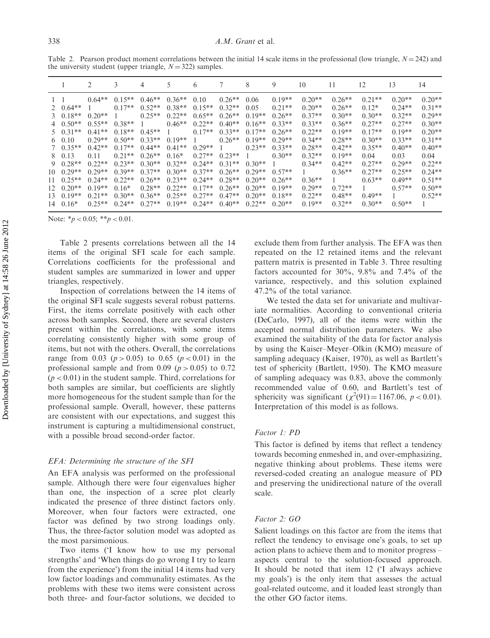Table 2. Pearson product moment correlations between the initial 14 scale items in the professional (low triangle,  $N = 242$ ) and the university student (upper triangle,  $N = 322$ ) samples.

|                   | $\mathcal{L}$ | 3        | $\overline{4}$ | 5                 | 6        | $7\phantom{0}$ | 8        | 9        | 10       | 11       | 12           | 13       | 14       |
|-------------------|---------------|----------|----------------|-------------------|----------|----------------|----------|----------|----------|----------|--------------|----------|----------|
|                   | $0.64**$      | $0.15**$ | $0.46**$       | $0.36**$          | 0.10     | $0.26**$       | 0.06     | $0.19**$ | $0.20**$ | $0.26**$ | $0.21**$     | $0.20**$ | $0.20**$ |
| 2 $0.64**$        |               | $0.17**$ | $0.52**$       | $0.38**$          | $0.15**$ | $0.32**$       | 0.05     | $0.21**$ | $0.20**$ | $0.26**$ | $0.12*$      | $0.24**$ | $0.31**$ |
| $3 \quad 0.18**$  | $0.20**$      |          | $0.25**$       | $0.22**$          | $0.65**$ | $0.26**$       | $0.19**$ | $0.26**$ | $0.37**$ | $0.30**$ | $0.30**$     | $0.32**$ | $0.29**$ |
| $4 \quad 0.50**$  | $0.55**$      | $0.38**$ |                | $0.46**$          | $0.22**$ | $0.40**$       | $0.16**$ | $0.33**$ | $0.33**$ | $0.36**$ | $0.27**$     | $0.27**$ | $0.30**$ |
| $5 \t0.31**$      | $0.41**$      | $0.18**$ | $0.45**$       |                   | $0.17**$ | $0.33**$       | $0.17**$ | $0.26**$ | $0.22**$ | $0.19**$ | $0.17**$     | $0.19**$ | $0.20**$ |
| $6\quad 0.10$     | $0.29**$      | $0.50**$ |                | $0.33**$ 0.19**   |          | $0.26**$       | $0.19**$ | $0.29**$ | $0.34**$ | $0.28**$ | $0.30**$     | $0.33**$ | $0.31**$ |
| $7 \quad 0.35**$  | $0.42**$      | $0.17**$ | $0.44**$       | $0.41**$          | $0.29**$ |                | $0.23**$ | $0.33**$ | $0.28**$ | $0.42**$ | $0.35**$     | $0.40**$ | $0.40**$ |
| 8 0.13            | 0.11          | $0.21**$ | $0.26**$       | $0.16*$           | $0.27**$ | $0.23**$       |          | $0.30**$ | $0.32**$ | $0.19**$ | 0.04         | 0.03     | 0.04     |
| $9 \t0.28**$      | $0.22**$      | $0.23**$ | $0.30**$       | $0.32**$          | $0.24**$ | $0.31**$       | $0.30**$ |          | $0.34**$ | $0.42**$ | $0.27**$     | $0.29**$ | $0.22**$ |
| $10 \quad 0.29**$ | $0.29**$      | $0.39**$ | $0.37**$       | $0.30**$          | $0.37**$ | $0.26**$       | $0.29**$ | $0.57**$ |          | $0.36**$ | $0.27**$     | $0.25**$ | $0.24**$ |
| $11 \quad 0.25**$ | $0.24**$      | $0.22**$ |                | $0.26**$ $0.23**$ | $0.24**$ | $0.28**$       | $0.20**$ | $0.26**$ | $0.36**$ |          | $0.63**$     | $0.49**$ | $0.51**$ |
| $12 \quad 0.20**$ | $0.19**$      | $0.16*$  | $0.28**$       | $0.22**$          | $0.17**$ | $0.26**$       | $0.20**$ | $0.19**$ | $0.29**$ | $0.72**$ | $\mathbf{1}$ | $0.57**$ | $0.50**$ |
| $13 \quad 0.19**$ | $0.21**$      | $0.30**$ | $0.36**$       | $0.25**$          | $0.27**$ | $0.47**$       | $0.20**$ | $0.18**$ | $0.22**$ | $0.48**$ | $0.49**$     |          | $0.52**$ |
| $14 \quad 0.16*$  | $0.25**$      | $0.24**$ | $0.27**$       | $0.19**$          | $0.24**$ | $0.40**$       | $0.22**$ | $0.20**$ | $0.19**$ | $0.32**$ | $0.30**$     | $0.50**$ |          |
|                   |               |          |                |                   |          |                |          |          |          |          |              |          |          |

Note:  $*_{p}$  < 0.05;  $*_{p}$  < 0.01.

Table 2 presents correlations between all the 14 items of the original SFI scale for each sample. Correlations coefficients for the professional and student samples are summarized in lower and upper triangles, respectively.

Inspection of correlations between the 14 items of the original SFI scale suggests several robust patterns. First, the items correlate positively with each other across both samples. Second, there are several clusters present within the correlations, with some items correlating consistently higher with some group of items, but not with the others. Overall, the correlations range from 0.03 ( $p > 0.05$ ) to 0.65 ( $p < 0.01$ ) in the professional sample and from 0.09 ( $p > 0.05$ ) to 0.72  $(p < 0.01)$  in the student sample. Third, correlations for both samples are similar, but coefficients are slightly more homogeneous for the student sample than for the professional sample. Overall, however, these patterns are consistent with our expectations, and suggest this instrument is capturing a multidimensional construct, with a possible broad second-order factor.

#### EFA: Determining the structure of the SFI

An EFA analysis was performed on the professional sample. Although there were four eigenvalues higher than one, the inspection of a scree plot clearly indicated the presence of three distinct factors only. Moreover, when four factors were extracted, one factor was defined by two strong loadings only. Thus, the three-factor solution model was adopted as the most parsimonious.

Two items ('I know how to use my personal strengths' and 'When things do go wrong I try to learn from the experience') from the initial 14 items had very low factor loadings and communality estimates. As the problems with these two items were consistent across both three- and four-factor solutions, we decided to exclude them from further analysis. The EFA was then repeated on the 12 retained items and the relevant pattern matrix is presented in Table 3. Three resulting factors accounted for 30%, 9.8% and 7.4% of the variance, respectively, and this solution explained 47.2% of the total variance.

We tested the data set for univariate and multivariate normalities. According to conventional criteria (DeCarlo, 1997), all of the items were within the accepted normal distribution parameters. We also examined the suitability of the data for factor analysis by using the Kaiser–Meyer–Olkin (KMO) measure of sampling adequacy (Kaiser, 1970), as well as Bartlett's test of sphericity (Bartlett, 1950). The KMO measure of sampling adequacy was 0.83, above the commonly recommended value of 0.60, and Bartlett's test of sphericity was significant  $(\chi^2(91) = 1167.06, p < 0.01)$ . Interpretation of this model is as follows.

## Factor 1: PD

This factor is defined by items that reflect a tendency towards becoming enmeshed in, and over-emphasizing, negative thinking about problems. These items were reversed-coded creating an analogue measure of PD and preserving the unidirectional nature of the overall scale.

## Factor 2: GO

Salient loadings on this factor are from the items that reflect the tendency to envisage one's goals, to set up action plans to achieve them and to monitor progress – aspects central to the solution-focused approach. It should be noted that item 12 ('I always achieve my goals') is the only item that assesses the actual goal-related outcome, and it loaded least strongly than the other GO factor items.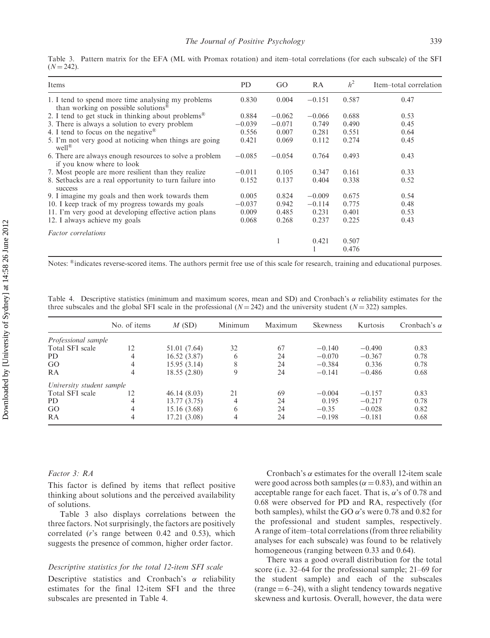Table 3. Pattern matrix for the EFA (ML with Promax rotation) and item–total correlations (for each subscale) of the SFI  $(N = 242)$ .

| Items                                                                                                 | PD.      | GO       | RA       | h <sup>2</sup> | Item-total correlation |
|-------------------------------------------------------------------------------------------------------|----------|----------|----------|----------------|------------------------|
| 1. I tend to spend more time analysing my problems<br>than working on possible solutions <sup>®</sup> | 0.830    | 0.004    | $-0.151$ | 0.587          | 0.47                   |
| 2. I tend to get stuck in thinking about problems <sup>®</sup>                                        | 0.884    | $-0.062$ | $-0.066$ | 0.688          | 0.53                   |
| 3. There is always a solution to every problem                                                        | $-0.039$ | $-0.071$ | 0.749    | 0.490          | 0.45                   |
| 4. I tend to focus on the negative <sup>®</sup>                                                       | 0.556    | 0.007    | 0.281    | 0.551          | 0.64                   |
| 5. I'm not very good at noticing when things are going<br>$well^{\circledR}$                          | 0.421    | 0.069    | 0.112    | 0.274          | 0.45                   |
| 6. There are always enough resources to solve a problem<br>if you know where to look                  | $-0.085$ | $-0.054$ | 0.764    | 0.493          | 0.43                   |
| 7. Most people are more resilient than they realize                                                   | $-0.011$ | 0.105    | 0.347    | 0.161          | 0.33                   |
| 8. Setbacks are a real opportunity to turn failure into<br>success                                    | 0.152    | 0.137    | 0.404    | 0.338          | 0.52                   |
| 9. I imagine my goals and then work towards them                                                      | 0.005    | 0.824    | $-0.009$ | 0.675          | 0.54                   |
| 10. I keep track of my progress towards my goals                                                      | $-0.037$ | 0.942    | $-0.114$ | 0.775          | 0.48                   |
| 11. I'm very good at developing effective action plans                                                | 0.009    | 0.485    | 0.231    | 0.401          | 0.53                   |
| 12. I always achieve my goals                                                                         | 0.068    | 0.268    | 0.237    | 0.225          | 0.43                   |
| <b>Factor</b> correlations                                                                            |          |          |          |                |                        |
|                                                                                                       |          |          | 0.421    | 0.507          |                        |
|                                                                                                       |          |          |          | 0.476          |                        |

Notes:  $\omega$  indicates reverse-scored items. The authors permit free use of this scale for research, training and educational purposes.

Table 4. Descriptive statistics (minimum and maximum scores, mean and SD) and Cronbach's  $\alpha$  reliability estimates for the three subscales and the global SFI scale in the professional ( $N = 242$ ) and the university student ( $N = 322$ ) samples.

|                            | No. of items | M(SD)        | Minimum | Maximum | <b>Skewness</b> | Kurtosis | Cronbach's $\alpha$ |
|----------------------------|--------------|--------------|---------|---------|-----------------|----------|---------------------|
| <i>Professional sample</i> |              |              |         |         |                 |          |                     |
| Total SFI scale            | 12           | 51.01 (7.64) | 32      | 67      | $-0.140$        | $-0.490$ | 0.83                |
| <b>PD</b>                  | 4            | 16.52(3.87)  |         | 24      | $-0.070$        | $-0.367$ | 0.78                |
| GO                         | 4            | 15.95(3.14)  |         | 24      | $-0.384$        | 0.336    | 0.78                |
| RA                         | 4            | 18.55(2.80)  | 9       | 24      | $-0.141$        | $-0.486$ | 0.68                |
| University student sample  |              |              |         |         |                 |          |                     |
| Total SFI scale            | 12           | 46.14(8.03)  | 21      | 69      | $-0.004$        | $-0.157$ | 0.83                |
| <b>PD</b>                  | 4            | 13.77(3.75)  | 4       | 24      | 0.195           | $-0.217$ | 0.78                |
| GO                         | 4            | 15.16 (3.68) | 6       | 24      | $-0.35$         | $-0.028$ | 0.82                |
| RA                         | 4            | 17.21 (3.08) | 4       | 24      | $-0.198$        | $-0.181$ | 0.68                |

### Factor 3: RA

This factor is defined by items that reflect positive thinking about solutions and the perceived availability of solutions.

Table 3 also displays correlations between the three factors. Not surprisingly, the factors are positively correlated (r's range between 0.42 and 0.53), which suggests the presence of common, higher order factor.

#### Descriptive statistics for the total 12-item SFI scale

Descriptive statistics and Cronbach's  $\alpha$  reliability estimates for the final 12-item SFI and the three subscales are presented in Table 4.

Cronbach's  $\alpha$  estimates for the overall 12-item scale were good across both samples ( $\alpha$  = 0.83), and within an acceptable range for each facet. That is,  $\alpha$ 's of 0.78 and 0.68 were observed for PD and RA, respectively (for both samples), whilst the GO  $\alpha$ 's were 0.78 and 0.82 for the professional and student samples, respectively. A range of item–total correlations (from three reliability analyses for each subscale) was found to be relatively homogeneous (ranging between 0.33 and 0.64).

There was a good overall distribution for the total score (i.e. 32–64 for the professional sample; 21–69 for the student sample) and each of the subscales  $(range = 6-24)$ , with a slight tendency towards negative skewness and kurtosis. Overall, however, the data were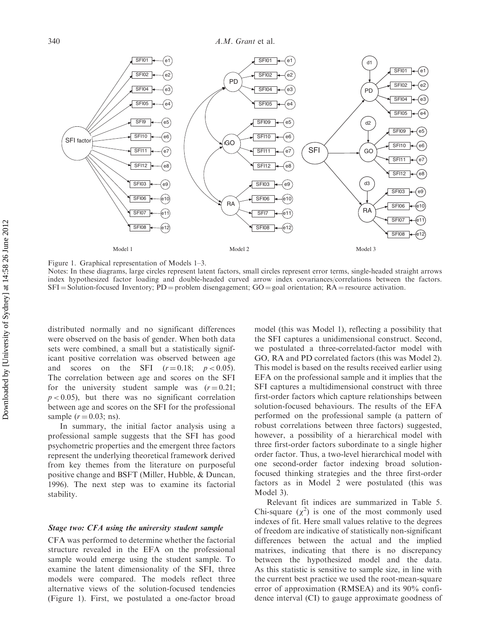340 *A.M. Grant* et al.



Figure 1. Graphical representation of Models 1–3.

Notes: In these diagrams, large circles represent latent factors, small circles represent error terms, single-headed straight arrows index hypothesized factor loading and double-headed curved arrow index covariances/correlations between the factors.  $SFI =$  Solution-focused Inventory; PD = problem disengagement;  $GO =$  goal orientation;  $RA =$  resource activation.

distributed normally and no significant differences were observed on the basis of gender. When both data sets were combined, a small but a statistically significant positive correlation was observed between age and scores on the SFI  $(r=0.18; p < 0.05)$ . The correlation between age and scores on the SFI for the university student sample was  $(r=0.21;$  $p < 0.05$ ), but there was no significant correlation between age and scores on the SFI for the professional sample  $(r = 0.03; \text{ ns})$ .

In summary, the initial factor analysis using a professional sample suggests that the SFI has good psychometric properties and the emergent three factors represent the underlying theoretical framework derived from key themes from the literature on purposeful positive change and BSFT (Miller, Hubble, & Duncan, 1996). The next step was to examine its factorial stability.

## Stage two: CFA using the university student sample

CFA was performed to determine whether the factorial structure revealed in the EFA on the professional sample would emerge using the student sample. To examine the latent dimensionality of the SFI, three models were compared. The models reflect three alternative views of the solution-focused tendencies (Figure 1). First, we postulated a one-factor broad model (this was Model 1), reflecting a possibility that the SFI captures a unidimensional construct. Second, we postulated a three-correlated-factor model with GO, RA and PD correlated factors (this was Model 2). This model is based on the results received earlier using EFA on the professional sample and it implies that the SFI captures a multidimensional construct with three first-order factors which capture relationships between solution-focused behaviours. The results of the EFA performed on the professional sample (a pattern of robust correlations between three factors) suggested, however, a possibility of a hierarchical model with three first-order factors subordinate to a single higher order factor. Thus, a two-level hierarchical model with one second-order factor indexing broad solutionfocused thinking strategies and the three first-order factors as in Model 2 were postulated (this was Model 3).

Relevant fit indices are summarized in Table 5. Chi-square  $(\chi^2)$  is one of the most commonly used indexes of fit. Here small values relative to the degrees of freedom are indicative of statistically non-significant differences between the actual and the implied matrixes, indicating that there is no discrepancy between the hypothesized model and the data. As this statistic is sensitive to sample size, in line with the current best practice we used the root-mean-square error of approximation (RMSEA) and its 90% confidence interval (CI) to gauge approximate goodness of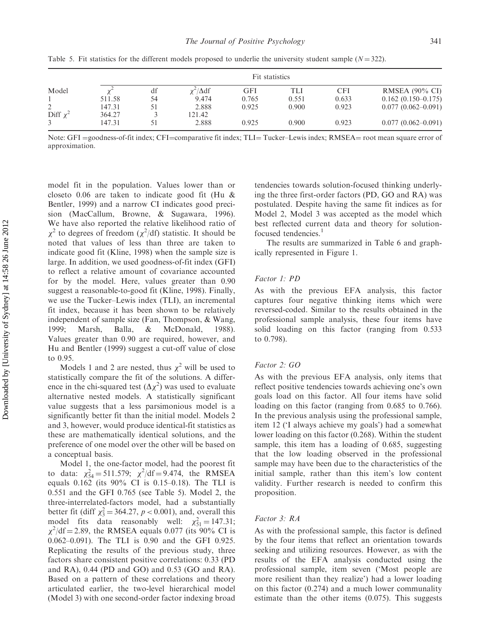| (117.22) |  |
|----------|--|

|               | Fit statistics |    |                    |            |       |            |                        |  |  |
|---------------|----------------|----|--------------------|------------|-------|------------|------------------------|--|--|
| Model         |                | df | $\chi^2/\Delta df$ | <b>GFI</b> | TLI   | <b>CFI</b> | RMSEA $(90\%$ CI)      |  |  |
|               | 511.58         | 54 | 9.474              | 0.765      | 0.551 | 0.633      | $0.162(0.150-0.175)$   |  |  |
|               | 147.31         | 51 | 2.888              | 0.925      | 0.900 | 0.923      | $0.077(0.062 - 0.091)$ |  |  |
| Diff $\chi^2$ | 364.27         |    | 121.42             |            |       |            |                        |  |  |
|               | 147.31         |    | 2.888              | 0.925      | 0.900 | 0.923      | $0.077(0.062 - 0.091)$ |  |  |

Table 5. Fit statistics for the different models proposed to underlie the university student sample ( $N = 322$ ).

Note: GFI = goodness-of-fit index; CFI=comparative fit index; TLI= Tucker–Lewis index; RMSEA= root mean square error of approximation.

model fit in the population. Values lower than or closeto 0.06 are taken to indicate good fit (Hu & Bentler, 1999) and a narrow CI indicates good precision (MacCallum, Browne, & Sugawara, 1996). We have also reported the relative likelihood ratio of  $\chi^2$  to degrees of freedom ( $\chi^2$ /df) statistic. It should be noted that values of less than three are taken to indicate good fit (Kline, 1998) when the sample size is large. In addition, we used goodness-of-fit index (GFI) to reflect a relative amount of covariance accounted for by the model. Here, values greater than 0.90 suggest a reasonable-to-good fit (Kline, 1998). Finally, we use the Tucker–Lewis index (TLI), an incremental fit index, because it has been shown to be relatively independent of sample size (Fan, Thompson, & Wang, 1999; Marsh, Balla, & McDonald, 1988). Values greater than 0.90 are required, however, and Hu and Bentler (1999) suggest a cut-off value of close to 0.95.

Models 1 and 2 are nested, thus  $\chi^2$  will be used to statistically compare the fit of the solutions. A difference in the chi-squared test  $(\Delta \chi^2)$  was used to evaluate alternative nested models. A statistically significant value suggests that a less parsimonious model is a significantly better fit than the initial model. Models 2 and 3, however, would produce identical-fit statistics as these are mathematically identical solutions, and the preference of one model over the other will be based on a conceptual basis.

Model 1, the one-factor model, had the poorest fit to data:  $\chi_{54}^2 = 511.579$ ;  $\chi^2/df = 9.474$ , the RMSEA equals 0.162 (its 90% CI is 0.15–0.18). The TLI is 0.551 and the GFI 0.765 (see Table 5). Model 2, the three-interrelated-factors model, had a substantially better fit (diff  $\chi_3^2 = 364.27$ ,  $p < 0.001$ ), and, overall this model fits data reasonably well:  $\chi_{51}^2 = 147.31$ ;  $\chi^2$ /df = 2.89, the RMSEA equals 0.077 (its 90% CI is 0.062–0.091). The TLI is 0.90 and the GFI 0.925. Replicating the results of the previous study, three factors share consistent positive correlations: 0.33 (PD and RA), 0.44 (PD and GO) and 0.53 (GO and RA). Based on a pattern of these correlations and theory articulated earlier, the two-level hierarchical model (Model 3) with one second-order factor indexing broad tendencies towards solution-focused thinking underlying the three first-order factors (PD, GO and RA) was postulated. Despite having the same fit indices as for Model 2, Model 3 was accepted as the model which best reflected current data and theory for solutionfocused tendencies.<sup>1</sup>

The results are summarized in Table 6 and graphically represented in Figure 1.

## Factor 1: PD

As with the previous EFA analysis, this factor captures four negative thinking items which were reversed-coded. Similar to the results obtained in the professional sample analysis, these four items have solid loading on this factor (ranging from 0.533 to 0.798).

## Factor 2: GO

As with the previous EFA analysis, only items that reflect positive tendencies towards achieving one's own goals load on this factor. All four items have solid loading on this factor (ranging from 0.685 to 0.766). In the previous analysis using the professional sample, item 12 ('I always achieve my goals') had a somewhat lower loading on this factor (0.268). Within the student sample, this item has a loading of 0.685, suggesting that the low loading observed in the professional sample may have been due to the characteristics of the initial sample, rather than this item's low content validity. Further research is needed to confirm this proposition.

## Factor 3: RA

As with the professional sample, this factor is defined by the four items that reflect an orientation towards seeking and utilizing resources. However, as with the results of the EFA analysis conducted using the professional sample, item seven ('Most people are more resilient than they realize') had a lower loading on this factor (0.274) and a much lower communality estimate than the other items (0.075). This suggests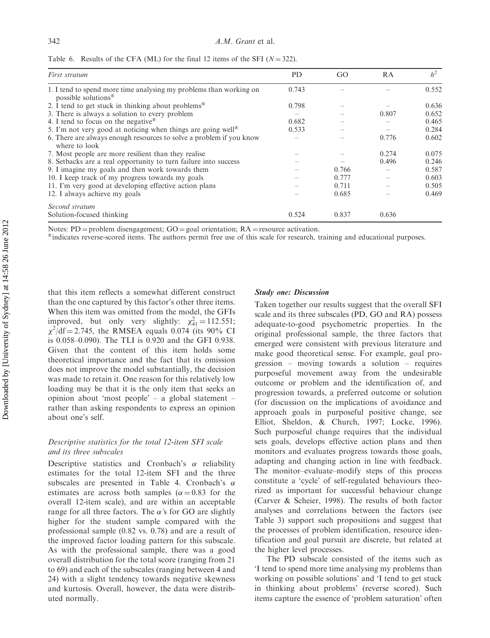Table 6. Results of the CFA (ML) for the final 12 items of the SFI ( $N = 322$ ).

| First stratum                                                                                         | <b>PD</b> | GO    | RA    |       |
|-------------------------------------------------------------------------------------------------------|-----------|-------|-------|-------|
| 1. I tend to spend more time analysing my problems than working on<br>possible solutions <sup>®</sup> | 0.743     |       |       | 0.552 |
| 2. I tend to get stuck in thinking about problems <sup>®</sup>                                        | 0.798     |       |       | 0.636 |
| 3. There is always a solution to every problem                                                        |           |       | 0.807 | 0.652 |
| 4. I tend to focus on the negative <sup>®</sup>                                                       | 0.682     |       |       | 0.465 |
| 5. I'm not very good at noticing when things are going well <sup>®</sup>                              | 0.533     |       |       | 0.284 |
| 6. There are always enough resources to solve a problem if you know<br>where to look                  |           |       | 0.776 | 0.602 |
| 7. Most people are more resilient than they realise                                                   |           |       | 0.274 | 0.075 |
| 8. Setbacks are a real opportunity to turn failure into success                                       |           |       | 0.496 | 0.246 |
| 9. I imagine my goals and then work towards them                                                      |           | 0.766 |       | 0.587 |
| 10. I keep track of my progress towards my goals                                                      |           | 0.777 |       | 0.603 |
| 11. I'm very good at developing effective action plans                                                |           | 0.711 |       | 0.505 |
| 12. I always achieve my goals                                                                         |           | 0.685 |       | 0.469 |
| Second stratum<br>Solution-focused thinking                                                           | 0.524     | 0.837 | 0.636 |       |
|                                                                                                       |           |       |       |       |

Notes: PD = problem disengagement; GO = goal orientation;  $RA$  = resource activation.<br>
<sup>®</sup> indicates reverse-scored items. The authors permit free use of this scale for research, training and educational purposes.

that this item reflects a somewhat different construct than the one captured by this factor's other three items. When this item was omitted from the model, the GFIs improved, but only very slightly:  $\chi_{41}^2 = 112.551$ ;  $\chi^2$  df = 2.745, the RMSEA equals 0.074 (its 90% CI is 0.058–0.090). The TLI is 0.920 and the GFI 0.938. Given that the content of this item holds some theoretical importance and the fact that its omission does not improve the model substantially, the decision was made to retain it. One reason for this relatively low loading may be that it is the only item that seeks an opinion about 'most people' – a global statement – rather than asking respondents to express an opinion about one's self.

## Descriptive statistics for the total 12-item SFI scale and its three subscales

Descriptive statistics and Cronbach's  $\alpha$  reliability estimates for the total 12-item SFI and the three subscales are presented in Table 4. Cronbach's  $\alpha$ estimates are across both samples ( $\alpha$  = 0.83 for the overall 12-item scale), and are within an acceptable range for all three factors. The  $\alpha$ 's for GO are slightly higher for the student sample compared with the professional sample (0.82 vs. 0.78) and are a result of the improved factor loading pattern for this subscale. As with the professional sample, there was a good overall distribution for the total score (ranging from 21 to 69) and each of the subscales (ranging between 4 and 24) with a slight tendency towards negative skewness and kurtosis. Overall, however, the data were distributed normally.

## Study one: Discussion

Taken together our results suggest that the overall SFI scale and its three subscales (PD, GO and RA) possess adequate-to-good psychometric properties. In the original professional sample, the three factors that emerged were consistent with previous literature and make good theoretical sense. For example, goal progression – moving towards a solution – requires purposeful movement away from the undesirable outcome or problem and the identification of, and progression towards, a preferred outcome or solution (for discussion on the implications of avoidance and approach goals in purposeful positive change, see Elliot, Sheldon, & Church, 1997; Locke, 1996). Such purposeful change requires that the individual sets goals, develops effective action plans and then monitors and evaluates progress towards those goals, adapting and changing action in line with feedback. The monitor–evaluate–modify steps of this process constitute a 'cycle' of self-regulated behaviours theorized as important for successful behaviour change (Carver & Scheier, 1998). The results of both factor analyses and correlations between the factors (see Table 3) support such propositions and suggest that the processes of problem identification, resource identification and goal pursuit are discrete, but related at the higher level processes.

The PD subscale consisted of the items such as 'I tend to spend more time analysing my problems than working on possible solutions' and 'I tend to get stuck in thinking about problems' (reverse scored). Such items capture the essence of 'problem saturation' often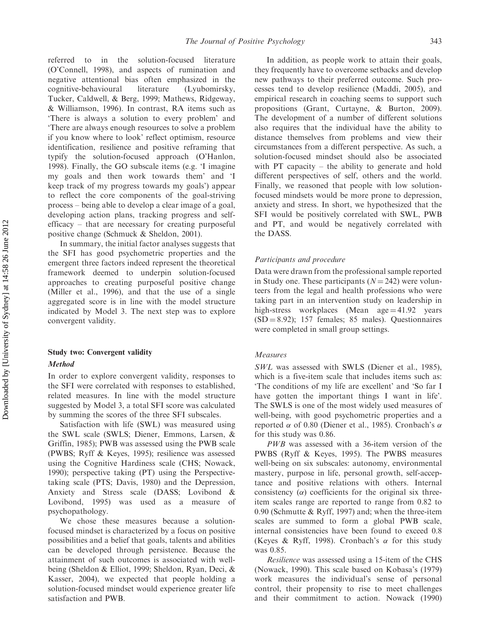referred to in the solution-focused literature (O'Connell, 1998), and aspects of rumination and negative attentional bias often emphasized in the cognitive-behavioural literature (Lyubomirsky, Tucker, Caldwell, & Berg, 1999; Mathews, Ridgeway, & Williamson, 1996). In contrast, RA items such as 'There is always a solution to every problem' and 'There are always enough resources to solve a problem if you know where to look' reflect optimism, resource identification, resilience and positive reframing that typify the solution-focused approach (O'Hanlon, 1998). Finally, the GO subscale items (e.g. 'I imagine my goals and then work towards them' and 'I keep track of my progress towards my goals') appear to reflect the core components of the goal-striving process – being able to develop a clear image of a goal, developing action plans, tracking progress and selfefficacy – that are necessary for creating purposeful positive change (Schmuck & Sheldon, 2001).

In summary, the initial factor analyses suggests that the SFI has good psychometric properties and the emergent three factors indeed represent the theoretical framework deemed to underpin solution-focused approaches to creating purposeful positive change (Miller et al., 1996), and that the use of a single aggregated score is in line with the model structure indicated by Model 3. The next step was to explore convergent validity.

## Study two: Convergent validity

# Method

In order to explore convergent validity, responses to the SFI were correlated with responses to established, related measures. In line with the model structure suggested by Model 3, a total SFI score was calculated by summing the scores of the three SFI subscales.

Satisfaction with life (SWL) was measured using the SWL scale (SWLS; Diener, Emmons, Larsen, & Griffin, 1985); PWB was assessed using the PWB scale (PWBS; Ryff & Keyes, 1995); resilience was assessed using the Cognitive Hardiness scale (CHS; Nowack, 1990); perspective taking (PT) using the Perspectivetaking scale (PTS; Davis, 1980) and the Depression, Anxiety and Stress scale (DASS; Lovibond & Lovibond, 1995) was used as a measure of psychopathology.

We chose these measures because a solutionfocused mindset is characterized by a focus on positive possibilities and a belief that goals, talents and abilities can be developed through persistence. Because the attainment of such outcomes is associated with wellbeing (Sheldon & Elliot, 1999; Sheldon, Ryan, Deci, & Kasser, 2004), we expected that people holding a solution-focused mindset would experience greater life satisfaction and PWB.

In addition, as people work to attain their goals. they frequently have to overcome setbacks and develop new pathways to their preferred outcome. Such processes tend to develop resilience (Maddi, 2005), and empirical research in coaching seems to support such propositions (Grant, Curtayne, & Burton, 2009). The development of a number of different solutions also requires that the individual have the ability to distance themselves from problems and view their circumstances from a different perspective. As such, a solution-focused mindset should also be associated with PT capacity – the ability to generate and hold different perspectives of self, others and the world. Finally, we reasoned that people with low solutionfocused mindsets would be more prone to depression, anxiety and stress. In short, we hypothesized that the SFI would be positively correlated with SWL, PWB and PT, and would be negatively correlated with the DASS.

## Participants and procedure

Data were drawn from the professional sample reported in Study one. These participants  $(N = 242)$  were volunteers from the legal and health professions who were taking part in an intervention study on leadership in high-stress workplaces (Mean age  $=$  41.92 years  $(SD = 8.92)$ ; 157 females; 85 males). Questionnaires were completed in small group settings.

#### Measures

SWL was assessed with SWLS (Diener et al., 1985), which is a five-item scale that includes items such as: 'The conditions of my life are excellent' and 'So far I have gotten the important things I want in life'. The SWLS is one of the most widely used measures of well-being, with good psychometric properties and a reported  $\alpha$  of 0.80 (Diener et al., 1985). Cronbach's  $\alpha$ for this study was 0.86.

PWB was assessed with a 36-item version of the PWBS (Ryff & Keyes, 1995). The PWBS measures well-being on six subscales: autonomy, environmental mastery, purpose in life, personal growth, self-acceptance and positive relations with others. Internal consistency  $(\alpha)$  coefficients for the original six threeitem scales range are reported to range from 0.82 to 0.90 (Schmutte & Ryff, 1997) and; when the three-item scales are summed to form a global PWB scale, internal consistencies have been found to exceed 0.8 (Keyes & Ryff, 1998). Cronbach's  $\alpha$  for this study was 0.85.

Resilience was assessed using a 15-item of the CHS (Nowack, 1990). This scale based on Kobasa's (1979) work measures the individual's sense of personal control, their propensity to rise to meet challenges and their commitment to action. Nowack (1990)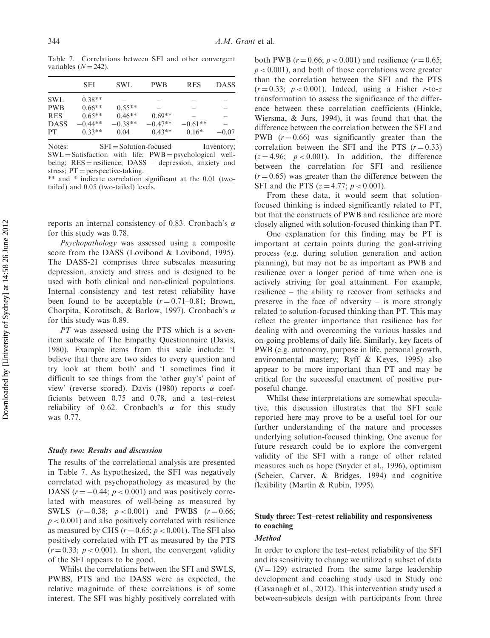Table 7. Correlations between SFI and other convergent variables  $(N = 242)$ .

|             | <b>SFI</b> | SWL.                     | <b>PWB</b>               | <b>RES</b>               | <b>DASS</b>              |
|-------------|------------|--------------------------|--------------------------|--------------------------|--------------------------|
| <b>SWL</b>  | $0.38**$   | $\overline{\phantom{a}}$ | $\overline{\phantom{a}}$ | $\overline{\phantom{a}}$ |                          |
| <b>PWB</b>  | $0.66**$   | $0.55**$                 | $\overline{\phantom{a}}$ | $\overline{\phantom{a}}$ | $\overline{\phantom{a}}$ |
| <b>RES</b>  | $0.65**$   | $0.46**$                 | $0.69**$                 | $\overline{\phantom{a}}$ |                          |
| <b>DASS</b> | $-0.44**$  | $-0.38**$                | $-0.47**$                | $-0.61**$                |                          |
| PТ          | $0.33**$   | 0.04                     | $0.43**$                 | $0.16*$                  | $-0.07$                  |

 $Notes: SFI = Solution-focused$  Inventory:  $SWL = Satisfactor$  with life;  $PWB = psvchological$  wellbeing;  $RES =$  resilience;  $DASS -$  depression, anxiety and stress;  $PT =$  perspective-taking.

reports an internal consistency of 0.83. Cronbach's  $\alpha$ for this study was 0.78.

Psychopathology was assessed using a composite score from the DASS (Lovibond & Lovibond, 1995). The DASS-21 comprises three subscales measuring depression, anxiety and stress and is designed to be used with both clinical and non-clinical populations. Internal consistency and test–retest reliability have been found to be acceptable  $(r=0.71-0.81;$  Brown, Chorpita, Korotitsch, & Barlow, 1997). Cronbach's  $\alpha$ for this study was 0.89.

PT was assessed using the PTS which is a sevenitem subscale of The Empathy Questionnaire (Davis, 1980). Example items from this scale include: 'I believe that there are two sides to every question and try look at them both' and 'I sometimes find it difficult to see things from the 'other guy's' point of view' (reverse scored). Davis (1980) reports  $\alpha$  coefficients between 0.75 and 0.78, and a test–retest reliability of 0.62. Cronbach's  $\alpha$  for this study was 0.77.

#### Study two: Results and discussion

The results of the correlational analysis are presented in Table 7. As hypothesized, the SFI was negatively correlated with psychopathology as measured by the DASS  $(r = -0.44; p < 0.001)$  and was positively correlated with measures of well-being as measured by SWLS  $(r = 0.38; p < 0.001)$  and PWBS  $(r = 0.66;$  $p < 0.001$ ) and also positively correlated with resilience as measured by CHS ( $r = 0.65$ ;  $p < 0.001$ ). The SFI also positively correlated with PT as measured by the PTS  $(r = 0.33; p < 0.001)$ . In short, the convergent validity of the SFI appears to be good.

Whilst the correlations between the SFI and SWLS, PWBS, PTS and the DASS were as expected, the relative magnitude of these correlations is of some interest. The SFI was highly positively correlated with both PWB ( $r = 0.66$ ;  $p < 0.001$ ) and resilience ( $r = 0.65$ ;  $p < 0.001$ ), and both of those correlations were greater than the correlation between the SFI and the PTS  $(r=0.33; p<0.001)$ . Indeed, using a Fisher r-to-z transformation to assess the significance of the difference between these correlation coefficients (Hinkle, Wiersma, & Jurs, 1994), it was found that that the difference between the correlation between the SFI and PWB  $(r=0.66)$  was significantly greater than the correlation between the SFI and the PTS  $(r = 0.33)$  $(z = 4.96; p < 0.001)$ . In addition, the difference between the correlation for SFI and resilience  $(r=0.65)$  was greater than the difference between the SFI and the PTS ( $z = 4.77$ ;  $p < 0.001$ ).

From these data, it would seem that solutionfocused thinking is indeed significantly related to PT, but that the constructs of PWB and resilience are more closely aligned with solution-focused thinking than PT.

One explanation for this finding may be PT is important at certain points during the goal-striving process (e.g. during solution generation and action planning), but may not be as important as PWB and resilience over a longer period of time when one is actively striving for goal attainment. For example, resilience – the ability to recover from setbacks and preserve in the face of adversity – is more strongly related to solution-focused thinking than PT. This may reflect the greater importance that resilience has for dealing with and overcoming the various hassles and on-going problems of daily life. Similarly, key facets of PWB (e.g. autonomy, purpose in life, personal growth, environmental mastery; Ryff & Keyes, 1995) also appear to be more important than PT and may be critical for the successful enactment of positive purposeful change.

Whilst these interpretations are somewhat speculative, this discussion illustrates that the SFI scale reported here may prove to be a useful tool for our further understanding of the nature and processes underlying solution-focused thinking. One avenue for future research could be to explore the convergent validity of the SFI with a range of other related measures such as hope (Snyder et al., 1996), optimism (Scheier, Carver, & Bridges, 1994) and cognitive flexibility (Martin & Rubin, 1995).

# Study three: Test–retest reliability and responsiveness to coaching

## Method

In order to explore the test–retest reliability of the SFI and its sensitivity to change we utilized a subset of data  $(N = 129)$  extracted from the same large leadership development and coaching study used in Study one (Cavanagh et al., 2012). This intervention study used a between-subjects design with participants from three

<sup>\*\*</sup> and \* indicate correlation significant at the 0.01 (twotailed) and 0.05 (two-tailed) levels.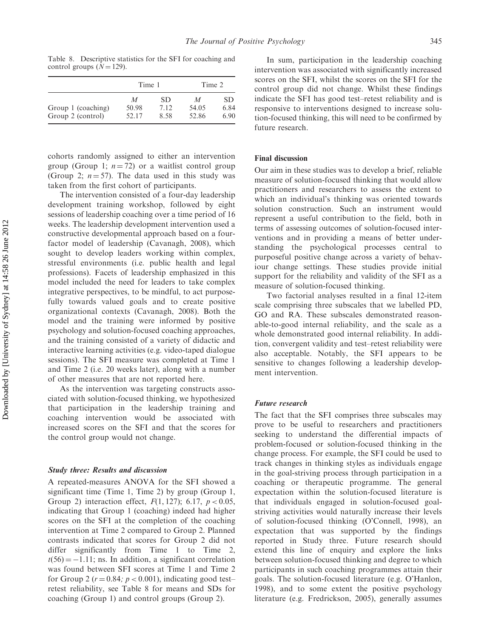|                                         | Time 1              |                           | Time 2              |                     |
|-----------------------------------------|---------------------|---------------------------|---------------------|---------------------|
| Group 1 (coaching)<br>Group 2 (control) | M<br>50.98<br>52.17 | <b>SD</b><br>7.12<br>8.58 | M<br>54.05<br>52.86 | SD.<br>6.84<br>6.90 |

cohorts randomly assigned to either an intervention group (Group 1;  $n = 72$ ) or a waitlist control group (Group 2;  $n = 57$ ). The data used in this study was taken from the first cohort of participants.

The intervention consisted of a four-day leadership development training workshop, followed by eight sessions of leadership coaching over a time period of 16 weeks. The leadership development intervention used a constructive developmental approach based on a fourfactor model of leadership (Cavanagh, 2008), which sought to develop leaders working within complex, stressful environments (i.e. public health and legal professions). Facets of leadership emphasized in this model included the need for leaders to take complex integrative perspectives, to be mindful, to act purposefully towards valued goals and to create positive organizational contexts (Cavanagh, 2008). Both the model and the training were informed by positive psychology and solution-focused coaching approaches, and the training consisted of a variety of didactic and interactive learning activities (e.g. video-taped dialogue sessions). The SFI measure was completed at Time 1 and Time 2 (i.e. 20 weeks later), along with a number of other measures that are not reported here.

As the intervention was targeting constructs associated with solution-focused thinking, we hypothesized that participation in the leadership training and coaching intervention would be associated with increased scores on the SFI and that the scores for the control group would not change.

## Study three: Results and discussion

A repeated-measures ANOVA for the SFI showed a significant time (Time 1, Time 2) by group (Group 1, Group 2) interaction effect,  $F(1, 127)$ ; 6.17,  $p < 0.05$ , indicating that Group 1 (coaching) indeed had higher scores on the SFI at the completion of the coaching intervention at Time 2 compared to Group 2. Planned contrasts indicated that scores for Group 2 did not differ significantly from Time 1 to Time 2,  $t(56) = -1.11$ ; ns. In addition, a significant correlation was found between SFI scores at Time 1 and Time 2 for Group 2 ( $r = 0.84$ ;  $p < 0.001$ ), indicating good test– retest reliability, see Table 8 for means and SDs for coaching (Group 1) and control groups (Group 2).

In sum, participation in the leadership coaching intervention was associated with significantly increased scores on the SFI, whilst the scores on the SFI for the control group did not change. Whilst these findings indicate the SFI has good test–retest reliability and is responsive to interventions designed to increase solution-focused thinking, this will need to be confirmed by future research.

## Final discussion

Our aim in these studies was to develop a brief, reliable measure of solution-focused thinking that would allow practitioners and researchers to assess the extent to which an individual's thinking was oriented towards solution construction. Such an instrument would represent a useful contribution to the field, both in terms of assessing outcomes of solution-focused interventions and in providing a means of better understanding the psychological processes central to purposeful positive change across a variety of behaviour change settings. These studies provide initial support for the reliability and validity of the SFI as a measure of solution-focused thinking.

Two factorial analyses resulted in a final 12-item scale comprising three subscales that we labelled PD, GO and RA. These subscales demonstrated reasonable-to-good internal reliability, and the scale as a whole demonstrated good internal reliability. In addition, convergent validity and test–retest reliability were also acceptable. Notably, the SFI appears to be sensitive to changes following a leadership development intervention.

#### Future research

The fact that the SFI comprises three subscales may prove to be useful to researchers and practitioners seeking to understand the differential impacts of problem-focused or solution-focused thinking in the change process. For example, the SFI could be used to track changes in thinking styles as individuals engage in the goal-striving process through participation in a coaching or therapeutic programme. The general expectation within the solution-focused literature is that individuals engaged in solution-focused goalstriving activities would naturally increase their levels of solution-focused thinking (O'Connell, 1998), an expectation that was supported by the findings reported in Study three. Future research should extend this line of enquiry and explore the links between solution-focused thinking and degree to which participants in such coaching programmes attain their goals. The solution-focused literature (e.g. O'Hanlon, 1998), and to some extent the positive psychology literature (e.g. Fredrickson, 2005), generally assumes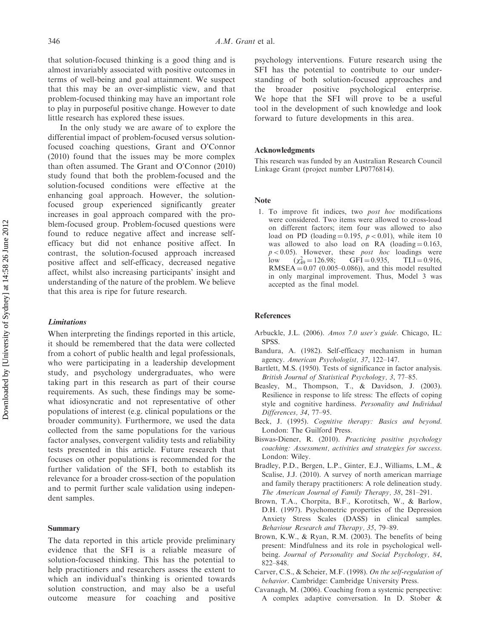that solution-focused thinking is a good thing and is almost invariably associated with positive outcomes in terms of well-being and goal attainment. We suspect that this may be an over-simplistic view, and that problem-focused thinking may have an important role to play in purposeful positive change. However to date little research has explored these issues.

In the only study we are aware of to explore the differential impact of problem-focused versus solutionfocused coaching questions, Grant and O'Connor (2010) found that the issues may be more complex than often assumed. The Grant and O'Connor (2010) study found that both the problem-focused and the solution-focused conditions were effective at the enhancing goal approach. However, the solutionfocused group experienced significantly greater increases in goal approach compared with the problem-focused group. Problem-focused questions were found to reduce negative affect and increase selfefficacy but did not enhance positive affect. In contrast, the solution-focused approach increased positive affect and self-efficacy, decreased negative affect, whilst also increasing participants' insight and understanding of the nature of the problem. We believe that this area is ripe for future research.

## **Limitations**

When interpreting the findings reported in this article, it should be remembered that the data were collected from a cohort of public health and legal professionals, who were participating in a leadership development study, and psychology undergraduates, who were taking part in this research as part of their course requirements. As such, these findings may be somewhat idiosyncratic and not representative of other populations of interest (e.g. clinical populations or the broader community). Furthermore, we used the data collected from the same populations for the various factor analyses, convergent validity tests and reliability tests presented in this article. Future research that focuses on other populations is recommended for the further validation of the SFI, both to establish its relevance for a broader cross-section of the population and to permit further scale validation using independent samples.

## Summary

The data reported in this article provide preliminary evidence that the SFI is a reliable measure of solution-focused thinking. This has the potential to help practitioners and researchers assess the extent to which an individual's thinking is oriented towards solution construction, and may also be a useful outcome measure for coaching and positive

psychology interventions. Future research using the SFI has the potential to contribute to our understanding of both solution-focused approaches and the broader positive psychological enterprise. We hope that the SFI will prove to be a useful tool in the development of such knowledge and look forward to future developments in this area.

#### Acknowledgments

This research was funded by an Australian Research Council Linkage Grant (project number LP0776814).

## Note

1. To improve fit indices, two post hoc modifications were considered. Two items were allowed to cross-load on different factors; item four was allowed to also load on PD (loading  $= 0.195$ ,  $p < 0.01$ ), while item 10 was allowed to also load on RA (loading  $= 0.163$ ,  $p < 0.05$ ). However, these *post hoc* loadings were low  $(\chi_{49}^2 = 126.98;$  $GFI = 0.935,$   $TLI = 0.916,$  $RMSEA = 0.07 (0.005 - 0.086)$ , and this model resulted in only marginal improvement. Thus, Model 3 was accepted as the final model.

### References

- Arbuckle, J.L. (2006). Amos 7.0 user's guide. Chicago, IL: **SPSS**
- Bandura, A. (1982). Self-efficacy mechanism in human agency. American Psychologist, 37, 122–147.
- Bartlett, M.S. (1950). Tests of significance in factor analysis. British Journal of Statistical Psychology, 3, 77–85.
- Beasley, M., Thompson, T., & Davidson, J. (2003). Resilience in response to life stress: The effects of coping style and cognitive hardiness. Personality and Individual Differences, 34, 77–95.
- Beck, J. (1995). Cognitive therapy: Basics and beyond. London: The Guilford Press.
- Biswas-Diener, R. (2010). Practicing positive psychology coaching: Assessment, activities and strategies for success. London: Wiley.
- Bradley, P.D., Bergen, L.P., Ginter, E.J., Williams, L.M., & Scalise, J.J. (2010). A survey of north american marriage and family therapy practitioners: A role delineation study. The American Journal of Family Therapy, 38, 281–291.
- Brown, T.A., Chorpita, B.F., Korotitsch, W., & Barlow, D.H. (1997). Psychometric properties of the Depression Anxiety Stress Scales (DASS) in clinical samples. Behaviour Research and Therapy, 35, 79–89.
- Brown, K.W., & Ryan, R.M. (2003). The benefits of being present: Mindfulness and its role in psychological wellbeing. Journal of Personality and Social Psychology, 84, 822–848.
- Carver, C.S., & Scheier, M.F. (1998). On the self-regulation of behavior. Cambridge: Cambridge University Press.
- Cavanagh, M. (2006). Coaching from a systemic perspective: A complex adaptive conversation. In D. Stober &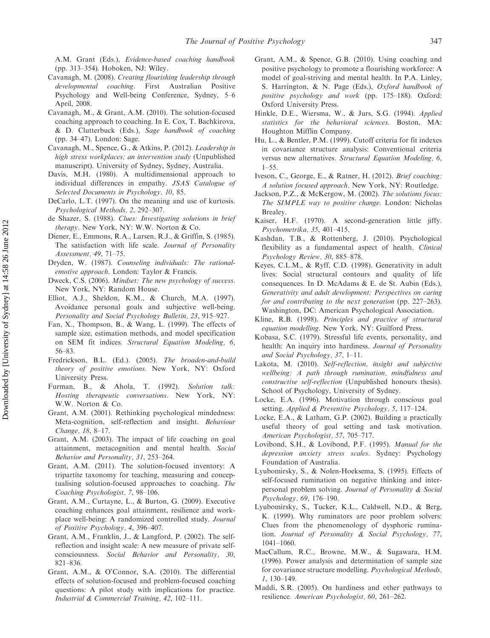A.M. Grant (Eds.), Evidence-based coaching handbook (pp. 313–354). Hoboken, NJ: Wiley.

- Cavanagh, M. (2008). Creating flourishing leadership through developmental coaching. First Australian Positive Psychology and Well-being Conference, Sydney, 5–6 April, 2008.
- Cavanagh, M., & Grant, A.M. (2010). The solution-focused coaching approach to coaching. In E. Cox, T. Bachkirova, & D. Clutterbuck (Eds.), Sage handbook of coaching (pp. 34–47). London: Sage.
- Cavanagh, M., Spence, G., & Atkins, P. (2012). Leadership in high stress workplaces; an intervention study (Unpublished manuscript). University of Sydney, Sydney, Australia.
- Davis, M.H. (1980). A multidimensional approach to individual differences in empathy. JSAS Catalogue of Selected Documents in Psychology, 10, 85.
- DeCarlo, L.T. (1997). On the meaning and use of kurtosis. Psychological Methods, 2, 292–307.
- de Shazer, S. (1988). Clues: Investigating solutions in brief therapy. New York, NY: W.W. Norton & Co.
- Diener, E., Emmons, R.A., Larsen, R.J., & Griffin, S. (1985). The satisfaction with life scale. Journal of Personality Assessment, 49, 71–75.
- Dryden, W. (1987). Counseling individuals: The rationalemotive approach. London: Taylor & Francis.
- Dweck, C.S. (2006). Mindset: The new psychology of success. New York, NY: Random House.
- Elliot, A.J., Sheldon, K.M., & Church, M.A. (1997). Avoidance personal goals and subjective well-being. Personality and Social Psychology Bulletin, 23, 915–927.
- Fan, X., Thompson, B., & Wang, L. (1999). The effects of sample size, estimation methods, and model specification on SEM fit indices. Structural Equation Modeling, 6, 56–83.
- Fredrickson, B.L. (Ed.). (2005). The broaden-and-build theory of positive emotions. New York, NY: Oxford University Press.
- Furman, B., & Ahola, T. (1992). Solution talk: Hosting therapeutic conversations. New York, NY: W.W. Norton & Co.
- Grant, A.M. (2001). Rethinking psychological mindedness: Meta-cognition, self-reflection and insight. Behaviour Change, 18, 8–17.
- Grant, A.M. (2003). The impact of life coaching on goal attainment, metacognition and mental health. Social Behavior and Personality, 31, 253–264.
- Grant, A.M. (2011). The solution-focused inventory: A tripartite taxonomy for teaching, measuring and conceptualising solution-focused approaches to coaching. The Coaching Psychologist, 7, 98–106.
- Grant, A.M., Curtayne, L., & Burton, G. (2009). Executive coaching enhances goal attainment, resilience and workplace well-being: A randomized controlled study. Journal of Positive Psychology, 4, 396–407.
- Grant, A.M., Franklin, J., & Langford, P. (2002). The selfreflection and insight scale: A new measure of private selfconsciousness. Social Behavior and Personality, 30, 821–836.
- Grant, A.M., & O'Connor, S.A. (2010). The differential effects of solution-focused and problem-focused coaching questions: A pilot study with implications for practice. Industrial & Commercial Training, 42, 102–111.
- Grant, A.M., & Spence, G.B. (2010). Using coaching and positive psychology to promote a flourishing workforce: A model of goal-striving and mental health. In P.A. Linley, S. Harrington, & N. Page (Eds.), Oxford handbook of positive psychology and work (pp. 175–188). Oxford: Oxford University Press.
- Hinkle, D.E., Wiersma, W., & Jurs, S.G. (1994). Applied statistics for the behavioral sciences. Boston, MA: Houghton Mifflin Company.
- Hu, L., & Bentler, P.M. (1999). Cutoff criteria for fit indexes in covariance structure analysis: Conventional criteria versus new alternatives. Structural Equation Modeling, 6, 1–55.
- Iveson, C., George, E., & Ratner, H. (2012). Brief coaching: A solution focused approach. New York, NY: Routledge.
- Jackson, P.Z., & McKergow, M. (2002). The solutions focus: The SIMPLE way to positive change. London: Nicholas Brealey.
- Kaiser, H.F. (1970). A second-generation little jiffy. Psychometrika, 35, 401–415.
- Kashdan, T.B., & Rottenberg, J. (2010). Psychological flexibility as a fundamental aspect of health. Clinical Psychology Review, 30, 885–878.
- Keyes, C.L.M., & Ryff, C.D. (1998). Generativity in adult lives: Social structural contours and quality of life consequences. In D. McAdams & E. de St. Aubin (Eds.), Generativity and adult development: Perspectives on caring for and contributing to the next generation (pp. 227–263). Washington, DC: American Psychological Association.
- Kline, R.B. (1998). Principles and practice of structural equation modelling. New York, NY: Guilford Press.
- Kobasa, S.C. (1979). Stressful life events, personality, and health: An inquiry into hardiness. Journal of Personality and Social Psychology, 37, 1–11.
- Lakota, M. (2010). Self-reflection, insight and subjective wellbeing: A path through rumination, mindfulness and constructive self-reflection (Unpublished honours thesis). School of Psychology, University of Sydney.
- Locke, E.A. (1996). Motivation through conscious goal setting. Applied & Preventive Psychology, 5, 117–124.
- Locke, E.A., & Latham, G.P. (2002). Building a practically useful theory of goal setting and task motivation. American Psychologist, 57, 705–717.
- Lovibond, S.H., & Lovibond, P.F. (1995). Manual for the depression anxiety stress scales. Sydney: Psychology Foundation of Australia.
- Lyubomirsky, S., & Nolen-Hoeksema, S. (1995). Effects of self-focused rumination on negative thinking and interpersonal problem solving. Journal of Personality & Social Psychology, 69, 176–190.
- Lyubomirsky, S., Tucker, K.L., Caldwell, N.D., & Berg, K. (1999). Why ruminators are poor problem solvers: Clues from the phenomenology of dysphoric rumination. Journal of Personality & Social Psychology, 77, 1041–1060.
- MacCallum, R.C., Browne, M.W., & Sugawara, H.M. (1996). Power analysis and determination of sample size for covariance structure modelling. Psychological Methods, 1, 130–149.
- Maddi, S.R. (2005). On hardiness and other pathways to resilience. American Psychologist, 60, 261–262.